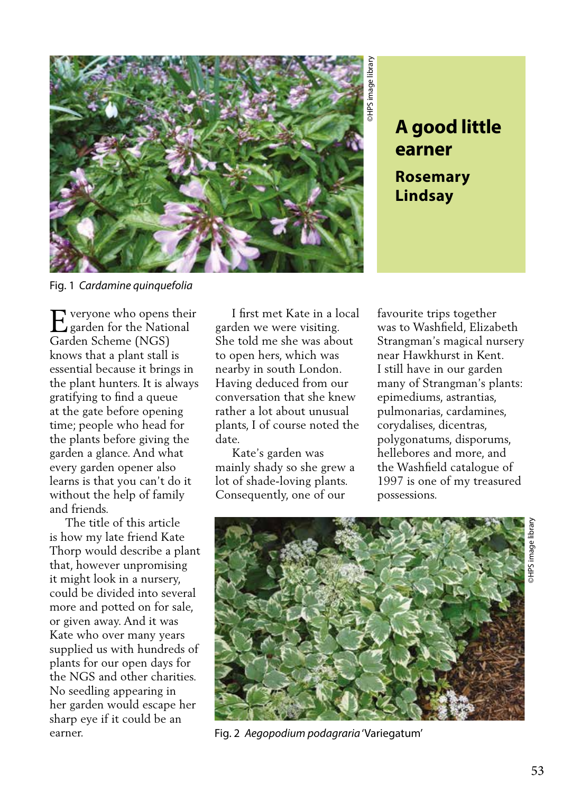

**earner**

**Rosemary Lindsay**

Fig. 1 *Cardamine quinquefolia* 

veryone who opens their E veryone who opens their<br>garden for the National Garden Scheme (NGS) knows that a plant stall is essential because it brings in the plant hunters. It is always gratifying to find a queue at the gate before opening time; people who head for the plants before giving the garden a glance. And what every garden opener also learns is that you can't do it without the help of family and friends.

 The title of this article is how my late friend Kate Thorp would describe a plant that, however unpromising it might look in a nursery, could be divided into several more and potted on for sale, or given away. And it was Kate who over many years supplied us with hundreds of plants for our open days for the NGS and other charities. No seedling appearing in her garden would escape her sharp eye if it could be an earner.

 I first met Kate in a local garden we were visiting. She told me she was about to open hers, which was nearby in south London. Having deduced from our conversation that she knew rather a lot about unusual plants, I of course noted the date.

 Kate's garden was mainly shady so she grew a lot of shade-loving plants. Consequently, one of our

favourite trips together was to Washfield, Elizabeth Strangman's magical nursery near Hawkhurst in Kent. I still have in our garden many of Strangman's plants: epimediums, astrantias, pulmonarias, cardamines, corydalises, dicentras, polygonatums, disporums, hellebores and more, and the Washfield catalogue of 1997 is one of my treasured possessions.



Fig. 2 *Aegopodium podagraria* 'Variegatum'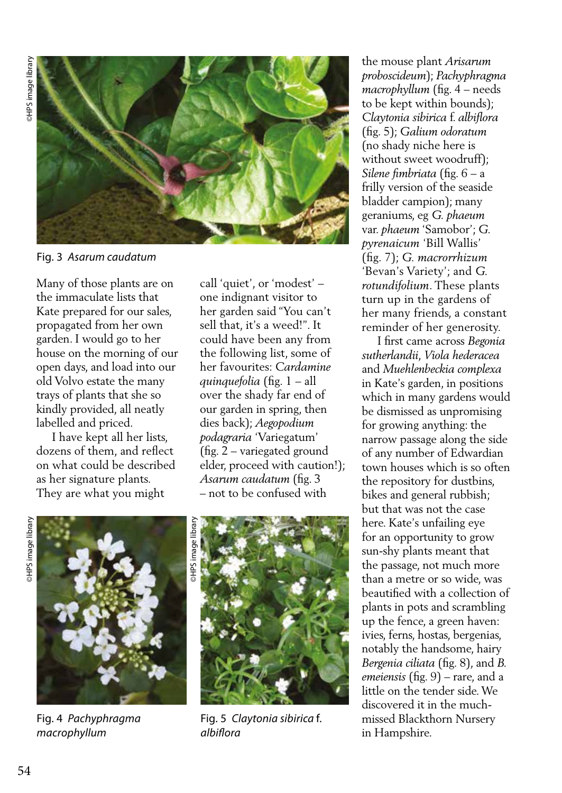

Fig. 3 *Asarum caudatum*

Many of those plants are on the immaculate lists that Kate prepared for our sales, propagated from her own garden. I would go to her house on the morning of our open days, and load into our old Volvo estate the many trays of plants that she so kindly provided, all neatly labelled and priced.

 I have kept all her lists, dozens of them, and reflect on what could be described as her signature plants. They are what you might

call 'quiet', or 'modest' – one indignant visitor to her garden said "You can't sell that, it's a weed!". It could have been any from the following list, some of her favourites: *Cardamine quinquefolia* (fig. 1 – all over the shady far end of our garden in spring, then dies back); *Aegopodium podagraria* 'Variegatum' (fig. 2 – variegated ground elder, proceed with caution!); *Asarum caudatum* (fig. 3 – not to be confused with





Fig. 4 *Pachyphragma macrophyllum*



Fig. 5 *Claytonia sibirica* f. *albiflora*

the mouse plant *Arisarum proboscideum*); *Pachyphragma macrophyllum* (fig. 4 – needs to be kept within bounds); *Claytonia sibirica* f. *albiflora*  (fig. 5); *Galium odoratum*  (no shady niche here is without sweet woodruff); *Silene fimbriata* (fig. 6 – a frilly version of the seaside bladder campion); many geraniums, eg *G. phaeum*  var. *phaeum* 'Samobor'; *G. pyrenaicum* 'Bill Wallis' (fig. 7); *G. macrorrhizum* 'Bevan's Variety'; and *G. rotundifolium*. These plants turn up in the gardens of her many friends, a constant reminder of her generosity.

 I first came across *Begonia sutherlandii*, *Viola hederacea* and *Muehlenbeckia complexa*  in Kate's garden, in positions which in many gardens would be dismissed as unpromising for growing anything: the narrow passage along the side of any number of Edwardian town houses which is so often the repository for dustbins, bikes and general rubbish; but that was not the case here. Kate's unfailing eye for an opportunity to grow sun-shy plants meant that the passage, not much more than a metre or so wide, was beautified with a collection of plants in pots and scrambling up the fence, a green haven: ivies, ferns, hostas, bergenias, notably the handsome, hairy *Bergenia ciliata* (fig. 8), and *B. emeiensis* (fig. 9) – rare, and a little on the tender side. We discovered it in the muchmissed Blackthorn Nursery in Hampshire.